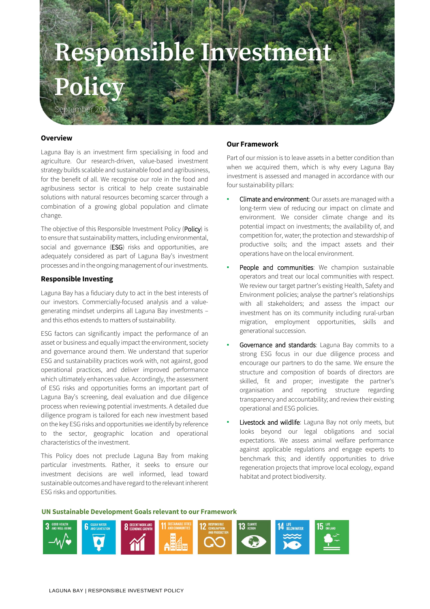# Responsible Investment Policy September 202

# **Overview**

Laguna Bay is an investment firm specialising in food and agriculture. Our research-driven, value-based investment strategy builds scalable and sustainable food and agribusiness, for the benefit of all. We recognise our role in the food and agribusiness sector is critical to help create sustainable solutions with natural resources becoming scarcer through a combination of a growing global population and climate change.

The objective of this Responsible Investment Policy (Policy) is to ensure that sustainability matters, including environmental, social and governance (ESG) risks and opportunities, are adequately considered as part of Laguna Bay's investment processes and in the ongoing management of our investments.

# **Responsible Investing**

Laguna Bay has a fiduciary duty to act in the best interests of our investors. Commercially-focused analysis and a valuegenerating mindset underpins all Laguna Bay investments – and this ethos extends to matters of sustainability.

ESG factors can significantly impact the performance of an asset or business and equally impact the environment, society and governance around them. We understand that superior ESG and sustainability practices work with, not against, good operational practices, and deliver improved performance which ultimately enhances value. Accordingly, the assessment of ESG risks and opportunities forms an important part of Laguna Bay's screening, deal evaluation and due diligence process when reviewing potential investments. A detailed due diligence program is tailored for each new investment based on the key ESG risks and opportunities we identify by reference to the sector, geographic location and operational characteristics of the investment.

This Policy does not preclude Laguna Bay from making particular investments. Rather, it seeks to ensure our investment decisions are well informed, lead toward sustainable outcomes and have regard to the relevant inherent ESG risks and opportunities.

# **Our Framework**

Part of our mission is to leave assets in a better condition than when we acquired them, which is why every Laguna Bay investment is assessed and managed in accordance with our four sustainability pillars:

- Climate and environment: Our assets are managed with a long-term view of reducing our impact on climate and environment. We consider climate change and its potential impact on investments; the availability of, and competition for, water; the protection and stewardship of productive soils; and the impact assets and their operations have on the local environment.
- People and communities: We champion sustainable operators and treat our local communities with respect. We review our target partner's existing Health, Safety and Environment policies; analyse the partner's relationships with all stakeholders; and assess the impact our investment has on its community including rural-urban migration, employment opportunities, skills and generational succession.
- Governance and standards: Laguna Bay commits to a strong ESG focus in our due diligence process and encourage our partners to do the same. We ensure the structure and composition of boards of directors are skilled, fit and proper; investigate the partner's organisation and reporting structure regarding transparency and accountability; and review their existing operational and ESG policies.
- Livestock and wildlife: Laguna Bay not only meets, but looks beyond our legal obligations and social expectations. We assess animal welfare performance against applicable regulations and engage experts to benchmark this; and identify opportunities to drive regeneration projects that improve local ecology, expand habitat and protect biodiversity.

### **UN Sustainable Development Goals relevant to our Framework**